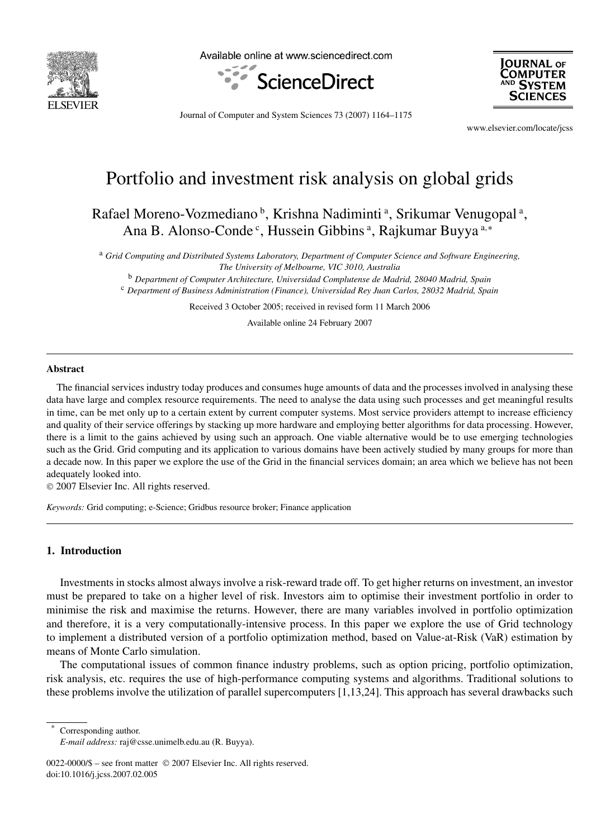

Available online at www.sciencedirect.com





Journal of Computer and System Sciences 73 (2007) 1164–1175

www.elsevier.com/locate/jcss

# Portfolio and investment risk analysis on global grids

Rafael Moreno-Vozmediano <sup>b</sup>, Krishna Nadiminti <sup>a</sup>, Srikumar Venugopal <sup>a</sup>, Ana B. Alonso-Conde<sup>c</sup>, Hussein Gibbins<sup>a</sup>, Rajkumar Buyya<sup>a,∗</sup>

<sup>a</sup> *Grid Computing and Distributed Systems Laboratory, Department of Computer Science and Software Engineering, The University of Melbourne, VIC 3010, Australia*

<sup>b</sup> *Department of Computer Architecture, Universidad Complutense de Madrid, 28040 Madrid, Spain* <sup>c</sup> *Department of Business Administration (Finance), Universidad Rey Juan Carlos, 28032 Madrid, Spain*

Received 3 October 2005; received in revised form 11 March 2006

Available online 24 February 2007

#### **Abstract**

The financial services industry today produces and consumes huge amounts of data and the processes involved in analysing these data have large and complex resource requirements. The need to analyse the data using such processes and get meaningful results in time, can be met only up to a certain extent by current computer systems. Most service providers attempt to increase efficiency and quality of their service offerings by stacking up more hardware and employing better algorithms for data processing. However, there is a limit to the gains achieved by using such an approach. One viable alternative would be to use emerging technologies such as the Grid. Grid computing and its application to various domains have been actively studied by many groups for more than a decade now. In this paper we explore the use of the Grid in the financial services domain; an area which we believe has not been adequately looked into.

© 2007 Elsevier Inc. All rights reserved.

*Keywords:* Grid computing; e-Science; Gridbus resource broker; Finance application

## **1. Introduction**

Investments in stocks almost always involve a risk-reward trade off. To get higher returns on investment, an investor must be prepared to take on a higher level of risk. Investors aim to optimise their investment portfolio in order to minimise the risk and maximise the returns. However, there are many variables involved in portfolio optimization and therefore, it is a very computationally-intensive process. In this paper we explore the use of Grid technology to implement a distributed version of a portfolio optimization method, based on Value-at-Risk (VaR) estimation by means of Monte Carlo simulation.

The computational issues of common finance industry problems, such as option pricing, portfolio optimization, risk analysis, etc. requires the use of high-performance computing systems and algorithms. Traditional solutions to these problems involve the utilization of parallel supercomputers [1,13,24]. This approach has several drawbacks such

Corresponding author.

*E-mail address:* raj@csse.unimelb.edu.au (R. Buyya).

<sup>0022-0000/\$ –</sup> see front matter © 2007 Elsevier Inc. All rights reserved. doi:10.1016/j.jcss.2007.02.005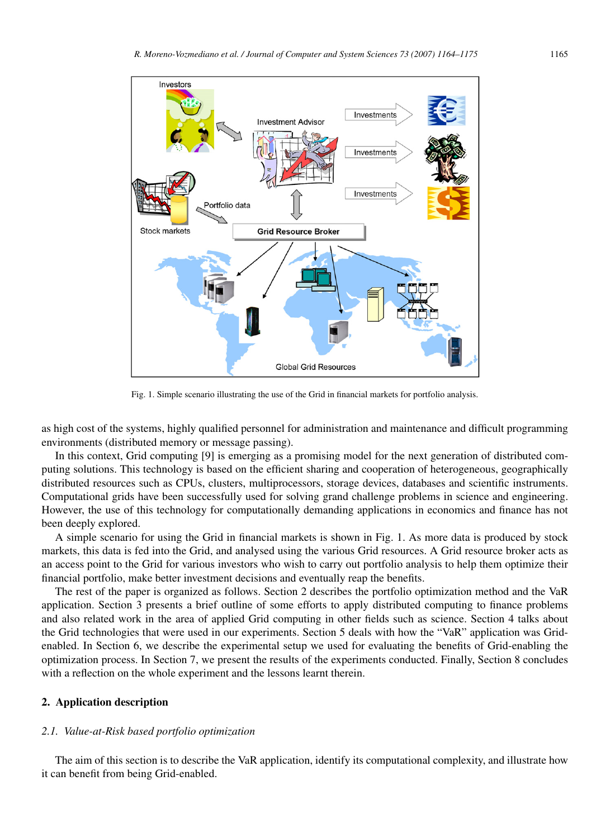

Fig. 1. Simple scenario illustrating the use of the Grid in financial markets for portfolio analysis.

as high cost of the systems, highly qualified personnel for administration and maintenance and difficult programming environments (distributed memory or message passing).

In this context, Grid computing [9] is emerging as a promising model for the next generation of distributed computing solutions. This technology is based on the efficient sharing and cooperation of heterogeneous, geographically distributed resources such as CPUs, clusters, multiprocessors, storage devices, databases and scientific instruments. Computational grids have been successfully used for solving grand challenge problems in science and engineering. However, the use of this technology for computationally demanding applications in economics and finance has not been deeply explored.

A simple scenario for using the Grid in financial markets is shown in Fig. 1. As more data is produced by stock markets, this data is fed into the Grid, and analysed using the various Grid resources. A Grid resource broker acts as an access point to the Grid for various investors who wish to carry out portfolio analysis to help them optimize their financial portfolio, make better investment decisions and eventually reap the benefits.

The rest of the paper is organized as follows. Section 2 describes the portfolio optimization method and the VaR application. Section 3 presents a brief outline of some efforts to apply distributed computing to finance problems and also related work in the area of applied Grid computing in other fields such as science. Section 4 talks about the Grid technologies that were used in our experiments. Section 5 deals with how the "VaR" application was Gridenabled. In Section 6, we describe the experimental setup we used for evaluating the benefits of Grid-enabling the optimization process. In Section 7, we present the results of the experiments conducted. Finally, Section 8 concludes with a reflection on the whole experiment and the lessons learnt therein.

## **2. Application description**

#### *2.1. Value-at-Risk based portfolio optimization*

The aim of this section is to describe the VaR application, identify its computational complexity, and illustrate how it can benefit from being Grid-enabled.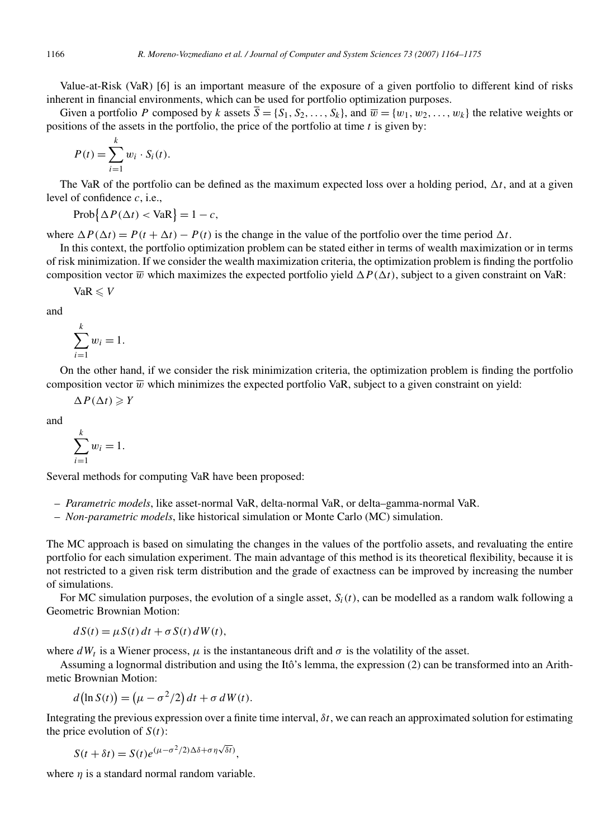Value-at-Risk (VaR) [6] is an important measure of the exposure of a given portfolio to different kind of risks inherent in financial environments, which can be used for portfolio optimization purposes.

Given a portfolio *P* composed by *k* assets  $\overline{S} = \{S_1, S_2, \ldots, S_k\}$ , and  $\overline{w} = \{w_1, w_2, \ldots, w_k\}$  the relative weights or positions of the assets in the portfolio, the price of the portfolio at time *t* is given by:

$$
P(t) = \sum_{i=1}^{k} w_i \cdot S_i(t).
$$

The VaR of the portfolio can be defined as the maximum expected loss over a holding period,  $\Delta t$ , and at a given level of confidence *c*, i.e.,

 $\text{Prob}\{\Delta P(\Delta t) < \text{VaR}\}=1-c,$ 

where  $\Delta P(\Delta t) = P(t + \Delta t) - P(t)$  is the change in the value of the portfolio over the time period  $\Delta t$ .

In this context, the portfolio optimization problem can be stated either in terms of wealth maximization or in terms of risk minimization. If we consider the wealth maximization criteria, the optimization problem is finding the portfolio composition vector  $\overline{w}$  which maximizes the expected portfolio yield  $\Delta P(\Delta t)$ , subject to a given constraint on VaR:

 $VaR \leqslant V$ 

and

$$
\sum_{i=1}^k w_i = 1.
$$

On the other hand, if we consider the risk minimization criteria, the optimization problem is finding the portfolio composition vector  $\overline{w}$  which minimizes the expected portfolio VaR, subject to a given constraint on yield:

 $\Delta P(\Delta t) \geqslant Y$ 

and

$$
\sum_{i=1}^k w_i = 1.
$$

Several methods for computing VaR have been proposed:

- *Parametric models*, like asset-normal VaR, delta-normal VaR, or delta–gamma-normal VaR.
- *Non-parametric models*, like historical simulation or Monte Carlo (MC) simulation.

The MC approach is based on simulating the changes in the values of the portfolio assets, and revaluating the entire portfolio for each simulation experiment. The main advantage of this method is its theoretical flexibility, because it is not restricted to a given risk term distribution and the grade of exactness can be improved by increasing the number of simulations.

For MC simulation purposes, the evolution of a single asset,  $S_i(t)$ , can be modelled as a random walk following a Geometric Brownian Motion:

 $dS(t) = \mu S(t) dt + \sigma S(t) dW(t)$ ,

where  $dW_t$  is a Wiener process,  $\mu$  is the instantaneous drift and  $\sigma$  is the volatility of the asset.

Assuming a lognormal distribution and using the Itô's lemma, the expression (2) can be transformed into an Arithmetic Brownian Motion:

$$
d(\ln S(t)) = (\mu - \sigma^2/2) dt + \sigma dW(t).
$$

Integrating the previous expression over a finite time interval, *δt*, we can reach an approximated solution for estimating the price evolution of  $S(t)$ :

$$
S(t + \delta t) = S(t)e^{(\mu - \sigma^2/2)\Delta\delta + \sigma\eta\sqrt{\delta t}},
$$

where *η* is a standard normal random variable.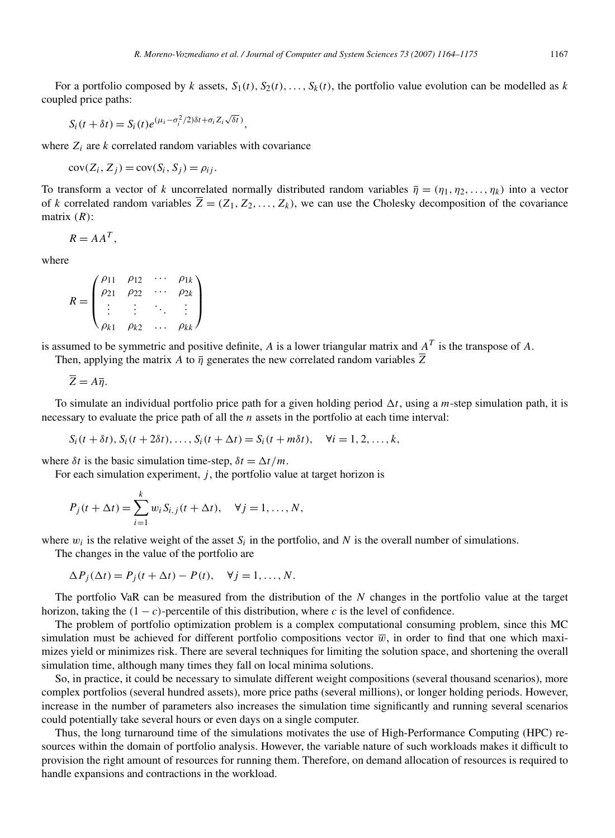For a portfolio composed by *k* assets,  $S_1(t)$ ,  $S_2(t)$ , ...,  $S_k(t)$ , the portfolio value evolution can be modelled as *k* coupled price paths:

$$
S_i(t + \delta t) = S_i(t)e^{(\mu_i - \sigma_i^2/2)\delta t + \sigma_i Z_i\sqrt{\delta t}}),
$$

where  $Z_i$  are  $k$  correlated random variables with covariance

 $cov(Z_i, Z_j) = cov(S_i, S_j) = \rho_{ij}$ .

To transform a vector of *k* uncorrelated normally distributed random variables  $\overline{\eta} = (\eta_1, \eta_2, \dots, \eta_k)$  into a vector of *k* correlated random variables  $\overline{Z} = (Z_1, Z_2, \ldots, Z_k)$ , we can use the Cholesky decomposition of the covariance matrix *(R)*:

$$
R = AA^T,
$$

where

$$
R = \begin{pmatrix} \rho_{11} & \rho_{12} & \cdots & \rho_{1k} \\ \rho_{21} & \rho_{22} & \cdots & \rho_{2k} \\ \vdots & \vdots & \ddots & \vdots \\ \rho_{k1} & \rho_{k2} & \cdots & \rho_{kk} \end{pmatrix}
$$

is assumed to be symmetric and positive definite, *A* is a lower triangular matrix and *AT* is the transpose of *A*.

Then, applying the matrix *A* to  $\overline{\eta}$  generates the new correlated random variables  $\overline{Z}$ 

 $\overline{Z} = A\overline{n}$ .

To simulate an individual portfolio price path for a given holding period  $\Delta t$ , using a *m*-step simulation path, it is necessary to evaluate the price path of all the *n* assets in the portfolio at each time interval:

$$
S_i(t + \delta t), S_i(t + 2\delta t), \dots, S_i(t + \Delta t) = S_i(t + m\delta t), \quad \forall i = 1, 2, \dots, k,
$$

where  $\delta t$  is the basic simulation time-step,  $\delta t = \Delta t / m$ .

For each simulation experiment, *j*, the portfolio value at target horizon is

$$
P_j(t + \Delta t) = \sum_{i=1}^k w_i S_{i,j}(t + \Delta t), \quad \forall j = 1, ..., N,
$$

where  $w_i$  is the relative weight of the asset  $S_i$  in the portfolio, and  $N$  is the overall number of simulations.

The changes in the value of the portfolio are

$$
\Delta P_j(\Delta t) = P_j(t + \Delta t) - P(t), \quad \forall j = 1, ..., N.
$$

The portfolio VaR can be measured from the distribution of the *N* changes in the portfolio value at the target horizon, taking the  $(1 - c)$ -percentile of this distribution, where *c* is the level of confidence.

The problem of portfolio optimization problem is a complex computational consuming problem, since this MC simulation must be achieved for different portfolio compositions vector  $\overline{w}$ , in order to find that one which maximizes yield or minimizes risk. There are several techniques for limiting the solution space, and shortening the overall simulation time, although many times they fall on local minima solutions.

So, in practice, it could be necessary to simulate different weight compositions (several thousand scenarios), more complex portfolios (several hundred assets), more price paths (several millions), or longer holding periods. However, increase in the number of parameters also increases the simulation time significantly and running several scenarios could potentially take several hours or even days on a single computer.

Thus, the long turnaround time of the simulations motivates the use of High-Performance Computing (HPC) resources within the domain of portfolio analysis. However, the variable nature of such workloads makes it difficult to provision the right amount of resources for running them. Therefore, on demand allocation of resources is required to handle expansions and contractions in the workload.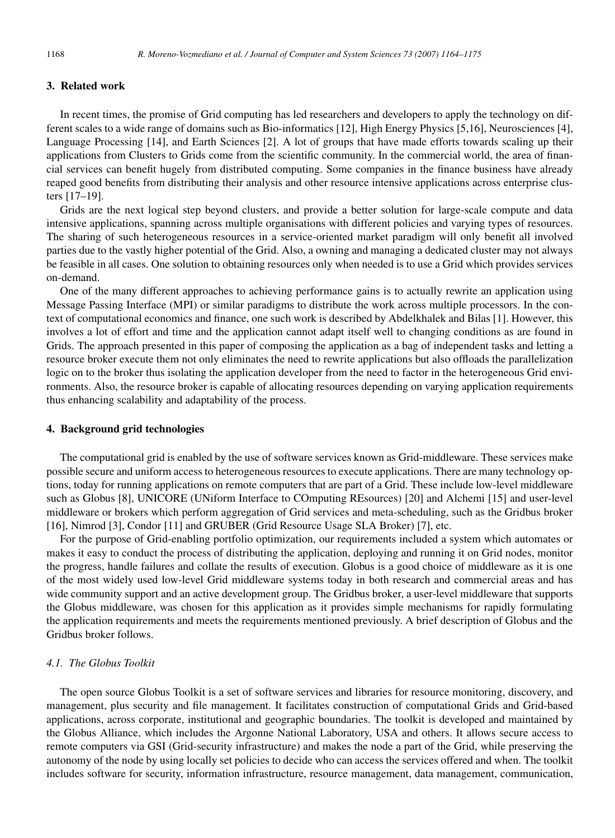# **3. Related work**

In recent times, the promise of Grid computing has led researchers and developers to apply the technology on different scales to a wide range of domains such as Bio-informatics [12], High Energy Physics [5,16], Neurosciences [4], Language Processing [14], and Earth Sciences [2]. A lot of groups that have made efforts towards scaling up their applications from Clusters to Grids come from the scientific community. In the commercial world, the area of financial services can benefit hugely from distributed computing. Some companies in the finance business have already reaped good benefits from distributing their analysis and other resource intensive applications across enterprise clusters [17–19].

Grids are the next logical step beyond clusters, and provide a better solution for large-scale compute and data intensive applications, spanning across multiple organisations with different policies and varying types of resources. The sharing of such heterogeneous resources in a service-oriented market paradigm will only benefit all involved parties due to the vastly higher potential of the Grid. Also, a owning and managing a dedicated cluster may not always be feasible in all cases. One solution to obtaining resources only when needed is to use a Grid which provides services on-demand.

One of the many different approaches to achieving performance gains is to actually rewrite an application using Message Passing Interface (MPI) or similar paradigms to distribute the work across multiple processors. In the context of computational economics and finance, one such work is described by Abdelkhalek and Bilas [1]. However, this involves a lot of effort and time and the application cannot adapt itself well to changing conditions as are found in Grids. The approach presented in this paper of composing the application as a bag of independent tasks and letting a resource broker execute them not only eliminates the need to rewrite applications but also offloads the parallelization logic on to the broker thus isolating the application developer from the need to factor in the heterogeneous Grid environments. Also, the resource broker is capable of allocating resources depending on varying application requirements thus enhancing scalability and adaptability of the process.

## **4. Background grid technologies**

The computational grid is enabled by the use of software services known as Grid-middleware. These services make possible secure and uniform access to heterogeneous resources to execute applications. There are many technology options, today for running applications on remote computers that are part of a Grid. These include low-level middleware such as Globus [8], UNICORE (UNiform Interface to COmputing REsources) [20] and Alchemi [15] and user-level middleware or brokers which perform aggregation of Grid services and meta-scheduling, such as the Gridbus broker [16], Nimrod [3], Condor [11] and GRUBER (Grid Resource Usage SLA Broker) [7], etc.

For the purpose of Grid-enabling portfolio optimization, our requirements included a system which automates or makes it easy to conduct the process of distributing the application, deploying and running it on Grid nodes, monitor the progress, handle failures and collate the results of execution. Globus is a good choice of middleware as it is one of the most widely used low-level Grid middleware systems today in both research and commercial areas and has wide community support and an active development group. The Gridbus broker, a user-level middleware that supports the Globus middleware, was chosen for this application as it provides simple mechanisms for rapidly formulating the application requirements and meets the requirements mentioned previously. A brief description of Globus and the Gridbus broker follows.

# *4.1. The Globus Toolkit*

The open source Globus Toolkit is a set of software services and libraries for resource monitoring, discovery, and management, plus security and file management. It facilitates construction of computational Grids and Grid-based applications, across corporate, institutional and geographic boundaries. The toolkit is developed and maintained by the Globus Alliance, which includes the Argonne National Laboratory, USA and others. It allows secure access to remote computers via GSI (Grid-security infrastructure) and makes the node a part of the Grid, while preserving the autonomy of the node by using locally set policies to decide who can access the services offered and when. The toolkit includes software for security, information infrastructure, resource management, data management, communication,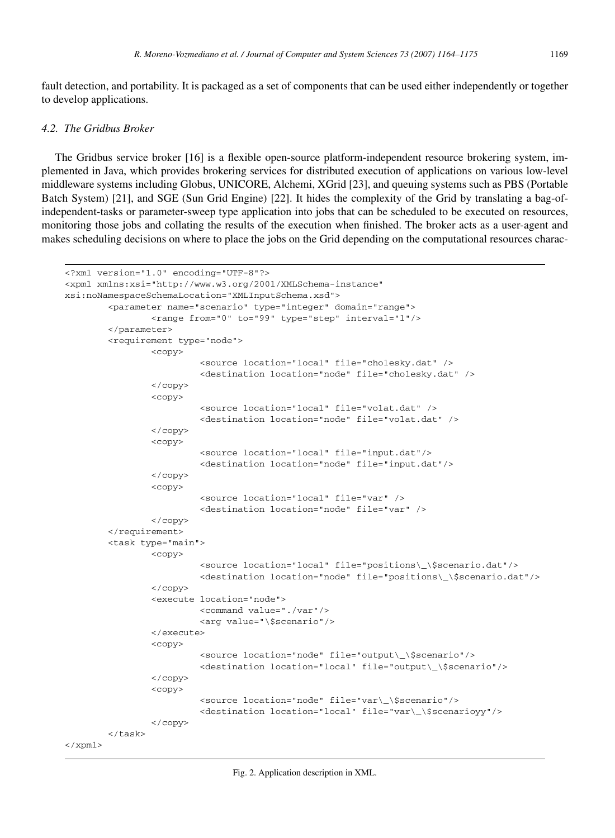fault detection, and portability. It is packaged as a set of components that can be used either independently or together to develop applications.

#### *4.2. The Gridbus Broker*

The Gridbus service broker [16] is a flexible open-source platform-independent resource brokering system, implemented in Java, which provides brokering services for distributed execution of applications on various low-level middleware systems including Globus, UNICORE, Alchemi, XGrid [23], and queuing systems such as PBS (Portable Batch System) [21], and SGE (Sun Grid Engine) [22]. It hides the complexity of the Grid by translating a bag-ofindependent-tasks or parameter-sweep type application into jobs that can be scheduled to be executed on resources, monitoring those jobs and collating the results of the execution when finished. The broker acts as a user-agent and makes scheduling decisions on where to place the jobs on the Grid depending on the computational resources charac-

```
<?xml version="1.0" encoding="UTF-8"?>
<xpml xmlns:xsi="http://www.w3.org/2001/XMLSchema-instance"
xsi:noNamespaceSchemaLocation="XMLInputSchema.xsd">
        <parameter name="scenario" type="integer" domain="range">
                <range from="0" to="99" type="step" interval="1"/>
        </parameter>
        <requirement type="node">
                <copy>
                         <source location="local" file="cholesky.dat" />
                         <destination location="node" file="cholesky.dat" />
                </copy>
                <copy>
                         <source location="local" file="volat.dat" />
                         <destination location="node" file="volat.dat" />
                </copy>
                <copy>
                         <source location="local" file="input.dat"/>
                         <destination location="node" file="input.dat"/>
                </copy>
                <copy>
                         <source location="local" file="var" />
                         <destination location="node" file="var" />
                </copy>
        </requirement>
        <task type="main">
                <copy>
                         <source location="local" file="positions\_\$scenario.dat"/>
                         <destination location="node" file="positions\_\$scenario.dat"/>
                </copy>
                <execute location="node">
                         <command value="./var"/>
                         <arg value="\$scenario"/>
                </execute>
                <copy>
                         <source location="node" file="output\_\$scenario"/>
                         <destination location="local" file="output\_\$scenario"/>
                </copy>
                <copy>
                         <source location="node" file="var\_\$scenario"/>
                         <destination location="local" file="var\_\$scenarioyy"/>
                </copy>
        </task>
\langle / xpm1
```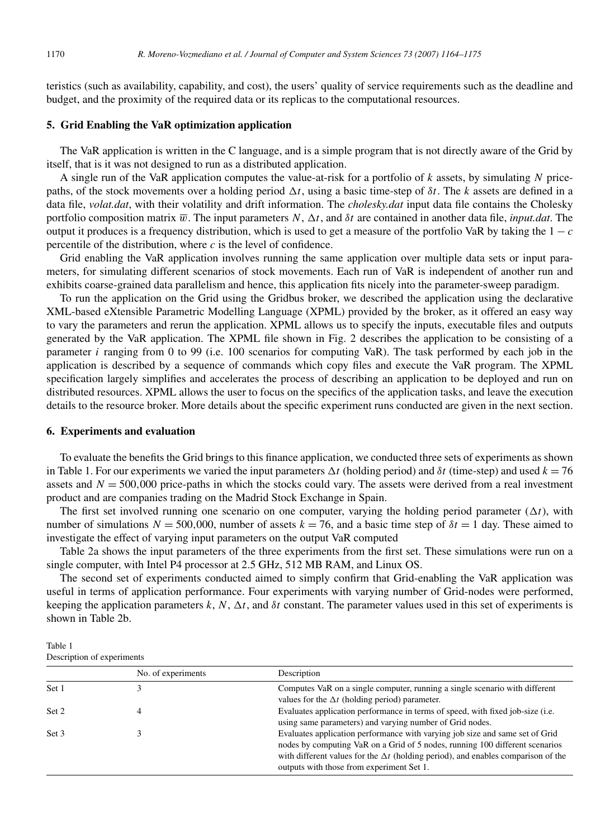teristics (such as availability, capability, and cost), the users' quality of service requirements such as the deadline and budget, and the proximity of the required data or its replicas to the computational resources.

## **5. Grid Enabling the VaR optimization application**

The VaR application is written in the C language, and is a simple program that is not directly aware of the Grid by itself, that is it was not designed to run as a distributed application.

A single run of the VaR application computes the value-at-risk for a portfolio of *k* assets, by simulating *N* pricepaths, of the stock movements over a holding period  $\Delta t$ , using a basic time-step of  $\delta t$ . The *k* assets are defined in a data file, *volat.dat*, with their volatility and drift information. The *cholesky.dat* input data file contains the Cholesky portfolio composition matrix  $\overline{w}$ . The input parameters  $N$ ,  $\Delta t$ , and  $\delta t$  are contained in another data file, *input.dat*. The output it produces is a frequency distribution, which is used to get a measure of the portfolio VaR by taking the  $1 - c$ percentile of the distribution, where  $c$  is the level of confidence.

Grid enabling the VaR application involves running the same application over multiple data sets or input parameters, for simulating different scenarios of stock movements. Each run of VaR is independent of another run and exhibits coarse-grained data parallelism and hence, this application fits nicely into the parameter-sweep paradigm.

To run the application on the Grid using the Gridbus broker, we described the application using the declarative XML-based eXtensible Parametric Modelling Language (XPML) provided by the broker, as it offered an easy way to vary the parameters and rerun the application. XPML allows us to specify the inputs, executable files and outputs generated by the VaR application. The XPML file shown in Fig. 2 describes the application to be consisting of a parameter *i* ranging from 0 to 99 (i.e. 100 scenarios for computing VaR). The task performed by each job in the application is described by a sequence of commands which copy files and execute the VaR program. The XPML specification largely simplifies and accelerates the process of describing an application to be deployed and run on distributed resources. XPML allows the user to focus on the specifics of the application tasks, and leave the execution details to the resource broker. More details about the specific experiment runs conducted are given in the next section.

# **6. Experiments and evaluation**

To evaluate the benefits the Grid brings to this finance application, we conducted three sets of experiments as shown in Table 1. For our experiments we varied the input parameters  $\Delta t$  (holding period) and  $\delta t$  (time-step) and used  $k = 76$ assets and  $N = 500,000$  price-paths in which the stocks could vary. The assets were derived from a real investment product and are companies trading on the Madrid Stock Exchange in Spain.

The first set involved running one scenario on one computer, varying the holding period parameter  $(\Delta t)$ , with number of simulations  $N = 500,000$ , number of assets  $k = 76$ , and a basic time step of  $\delta t = 1$  day. These aimed to investigate the effect of varying input parameters on the output VaR computed

Table 2a shows the input parameters of the three experiments from the first set. These simulations were run on a single computer, with Intel P4 processor at 2.5 GHz, 512 MB RAM, and Linux OS.

The second set of experiments conducted aimed to simply confirm that Grid-enabling the VaR application was useful in terms of application performance. Four experiments with varying number of Grid-nodes were performed, keeping the application parameters  $k, N, \Delta t$ , and  $\delta t$  constant. The parameter values used in this set of experiments is shown in Table 2b.

Table 1 Description of experiments

|       | No. of experiments | Description                                                                                                                                                                                                                                                                                           |
|-------|--------------------|-------------------------------------------------------------------------------------------------------------------------------------------------------------------------------------------------------------------------------------------------------------------------------------------------------|
| Set 1 |                    | Computes VaR on a single computer, running a single scenario with different<br>values for the $\Delta t$ (holding period) parameter.                                                                                                                                                                  |
| Set 2 |                    | Evaluates application performance in terms of speed, with fixed job-size (i.e.<br>using same parameters) and varying number of Grid nodes.                                                                                                                                                            |
| Set 3 |                    | Evaluates application performance with varying job size and same set of Grid<br>nodes by computing VaR on a Grid of 5 nodes, running 100 different scenarios<br>with different values for the $\Delta t$ (holding period), and enables comparison of the<br>outputs with those from experiment Set 1. |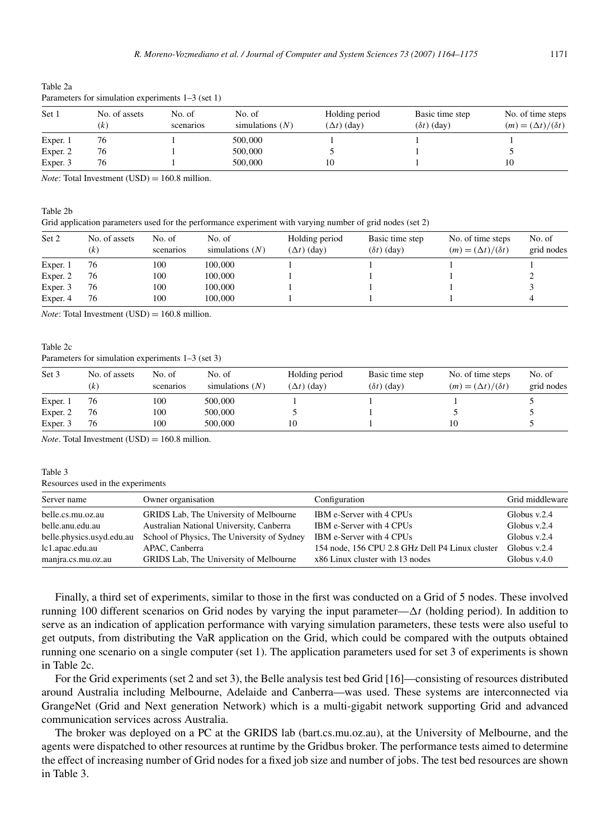|          | $\frac{1}{2}$ and $\frac{1}{2}$ and $\frac{1}{2}$ and $\frac{1}{2}$ and $\frac{1}{2}$ and $\frac{1}{2}$ and $\frac{1}{2}$ and $\frac{1}{2}$ and $\frac{1}{2}$ |                     |                             |                                      |                                       |                                                    |  |  |  |
|----------|---------------------------------------------------------------------------------------------------------------------------------------------------------------|---------------------|-----------------------------|--------------------------------------|---------------------------------------|----------------------------------------------------|--|--|--|
| Set 1    | No. of assets<br>(k`                                                                                                                                          | No. of<br>scenarios | No. of<br>simulations $(N)$ | Holding period<br>$(\Delta t)$ (day) | Basic time step<br>$(\delta t)$ (day) | No. of time steps<br>$(m) = (\Delta t)/(\delta t)$ |  |  |  |
| Exper. 1 | 76                                                                                                                                                            |                     | 500,000                     |                                      |                                       |                                                    |  |  |  |
| Exper. 2 | 76                                                                                                                                                            |                     | 500,000                     |                                      |                                       |                                                    |  |  |  |
| Exper. 3 | 76                                                                                                                                                            |                     | 500,000                     |                                      |                                       | 10                                                 |  |  |  |

Table 2a Parameters for simulation experiments 1–3 (set 1)

*Note*: Total Investment  $(USD) = 160.8$  million.

Grid application parameters used for the performance experiment with varying number of grid nodes (set 2)

| Set 2    | No. of assets<br>(k) | No. of<br>scenarios | No. of<br>simulations $(N)$ | Holding period<br>$(\Delta t)$ (day) | Basic time step<br>$(\delta t)$ (day) | No. of time steps<br>$(m) = (\Delta t)/(\delta t)$ | No. of<br>grid nodes |
|----------|----------------------|---------------------|-----------------------------|--------------------------------------|---------------------------------------|----------------------------------------------------|----------------------|
| Exper. 1 | 76                   | 100                 | 100,000                     |                                      |                                       |                                                    |                      |
| Exper. 2 | 76                   | 100                 | 100,000                     |                                      |                                       |                                                    |                      |
| Exper. 3 | 76                   | 100                 | 100,000                     |                                      |                                       |                                                    |                      |
| Exper. 4 | 76                   | 100                 | 100,000                     |                                      |                                       |                                                    |                      |

*Note*: Total Investment (USD) =  $160.8$  million.

#### Table 2c

Table 2b

Parameters for simulation experiments 1–3 (set 3)

| Set 3    | No. of assets<br>(k) | No. of<br>scenarios | No. of<br>simulations $(N)$ | Holding period<br>$(\Delta t)$ (day) | Basic time step<br>$(\delta t)$ (day) | No. of time steps<br>$(m) = (\Delta t)/(\delta t)$ | No. of<br>grid nodes |
|----------|----------------------|---------------------|-----------------------------|--------------------------------------|---------------------------------------|----------------------------------------------------|----------------------|
| Exper. 1 | 76                   | 100                 | 500,000                     |                                      |                                       |                                                    |                      |
| Exper. 2 | 76                   | 100                 | 500,000                     |                                      |                                       |                                                    |                      |
| Exper. 3 | 76                   | 100                 | 500,000                     |                                      |                                       |                                                    |                      |

*Note*. Total Investment (USD) =  $160.8$  million.

#### Table 3

#### Resources used in the experiments

| Server name               | Owner organisation                          | Configuration                                   | Grid middleware |
|---------------------------|---------------------------------------------|-------------------------------------------------|-----------------|
| belle.cs.mu.oz.au         | GRIDS Lab, The University of Melbourne      | IBM e-Server with 4 CPUs                        | Globus $v.2.4$  |
| belle.anu.edu.au          | Australian National University, Canberra    | IBM e-Server with 4 CPUs                        | Globus $v.2.4$  |
| belle.physics.usyd.edu.au | School of Physics, The University of Sydney | IBM e-Server with 4 CPUs                        | Globus $v.2.4$  |
| lc1.apac.edu.au           | APAC. Canberra                              | 154 node, 156 CPU 2.8 GHz Dell P4 Linux cluster | Globus $v.2.4$  |
| manjra.cs.mu.oz.au        | GRIDS Lab, The University of Melbourne      | x86 Linux cluster with 13 nodes                 | Globus $v.4.0$  |

Finally, a third set of experiments, similar to those in the first was conducted on a Grid of 5 nodes. These involved running 100 different scenarios on Grid nodes by varying the input parameter— $\Delta t$  (holding period). In addition to serve as an indication of application performance with varying simulation parameters, these tests were also useful to get outputs, from distributing the VaR application on the Grid, which could be compared with the outputs obtained running one scenario on a single computer (set 1). The application parameters used for set 3 of experiments is shown in Table 2c.

For the Grid experiments (set 2 and set 3), the Belle analysis test bed Grid [16]—consisting of resources distributed around Australia including Melbourne, Adelaide and Canberra—was used. These systems are interconnected via GrangeNet (Grid and Next generation Network) which is a multi-gigabit network supporting Grid and advanced communication services across Australia.

The broker was deployed on a PC at the GRIDS lab (bart.cs.mu.oz.au), at the University of Melbourne, and the agents were dispatched to other resources at runtime by the Gridbus broker. The performance tests aimed to determine the effect of increasing number of Grid nodes for a fixed job size and number of jobs. The test bed resources are shown in Table 3.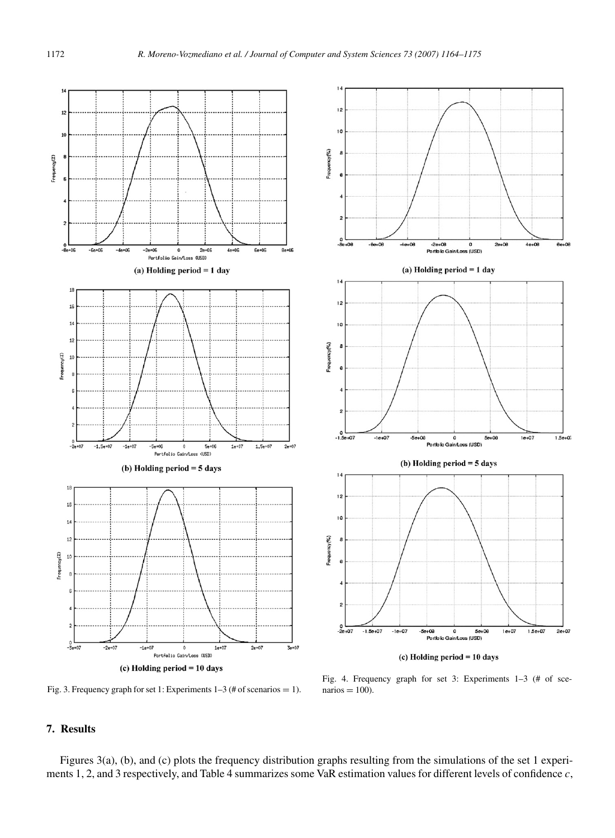

Fig. 3. Frequency graph for set 1: Experiments  $1-3$  (# of scenarios = 1).

Fig. 4. Frequency graph for set 3: Experiments 1–3 (# of sce $narios = 100$ ).

# **7. Results**

Figures 3(a), (b), and (c) plots the frequency distribution graphs resulting from the simulations of the set 1 experiments 1, 2, and 3 respectively, and Table 4 summarizes some VaR estimation values for different levels of confidence *c*,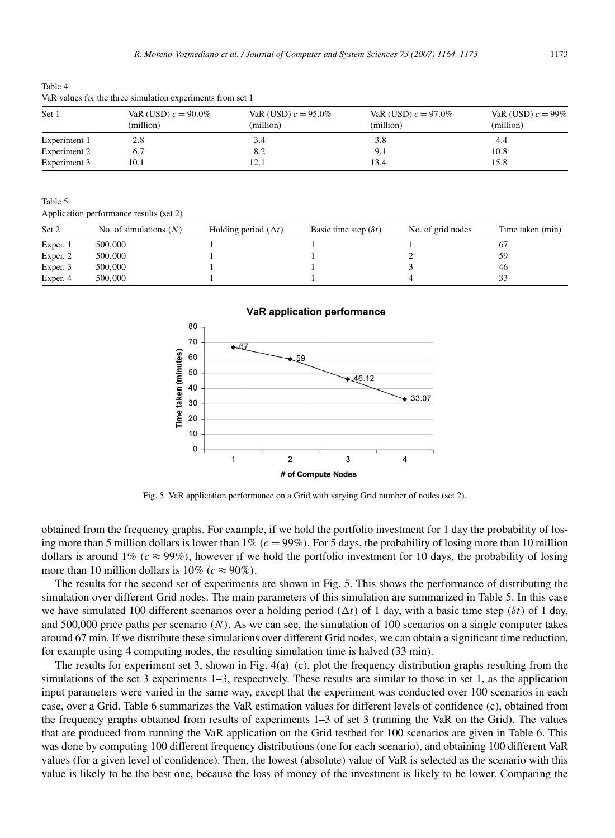Table 4 VaR values for the three simulation experiments from set 1

| Set 1        | VaR (USD) $c = 90.0\%$<br>(million) | VaR (USD) $c = 95.0\%$<br>(million) | VaR (USD) $c = 97.0\%$<br>(million) | VaR (USD) $c = 99\%$<br>(million) |
|--------------|-------------------------------------|-------------------------------------|-------------------------------------|-----------------------------------|
| Experiment 1 | 2.8                                 | 3.4                                 | 3.8                                 | 4.4                               |
| Experiment 2 | 6.7                                 | 8.2                                 | 9.1                                 | 10.8                              |
| Experiment 3 | 10.1                                | 12.1                                | 13.4                                | 15.8                              |

Table 5

Application performance results (set 2)

| Set 2    | No. of simulations $(N)$ | Holding period $(\Delta t)$ | Basic time step $(\delta t)$ | No. of grid nodes | Time taken (min) |
|----------|--------------------------|-----------------------------|------------------------------|-------------------|------------------|
| Exper. 1 | 500,000                  |                             |                              |                   | 67               |
| Exper. 2 | 500,000                  |                             |                              |                   | 59               |
| Exper. 3 | 500,000                  |                             |                              |                   | 46               |
| Exper. 4 | 500,000                  |                             |                              |                   | 33               |



Fig. 5. VaR application performance on a Grid with varying Grid number of nodes (set 2).

obtained from the frequency graphs. For example, if we hold the portfolio investment for 1 day the probability of losing more than 5 million dollars is lower than  $1\%$  ( $c = 99\%$ ). For 5 days, the probability of losing more than 10 million dollars is around 1% ( $c \approx 99\%$ ), however if we hold the portfolio investment for 10 days, the probability of losing more than 10 million dollars is  $10\%$  ( $c \approx 90\%$ ).

The results for the second set of experiments are shown in Fig. 5. This shows the performance of distributing the simulation over different Grid nodes. The main parameters of this simulation are summarized in Table 5. In this case we have simulated 100 different scenarios over a holding period  $(\Delta t)$  of 1 day, with a basic time step  $(\delta t)$  of 1 day, and 500,000 price paths per scenario *(N)*. As we can see, the simulation of 100 scenarios on a single computer takes around 67 min. If we distribute these simulations over different Grid nodes, we can obtain a significant time reduction, for example using 4 computing nodes, the resulting simulation time is halved (33 min).

The results for experiment set 3, shown in Fig.  $4(a)$ –(c), plot the frequency distribution graphs resulting from the simulations of the set 3 experiments 1–3, respectively. These results are similar to those in set 1, as the application input parameters were varied in the same way, except that the experiment was conducted over 100 scenarios in each case, over a Grid. Table 6 summarizes the VaR estimation values for different levels of confidence (c), obtained from the frequency graphs obtained from results of experiments 1–3 of set 3 (running the VaR on the Grid). The values that are produced from running the VaR application on the Grid testbed for 100 scenarios are given in Table 6. This was done by computing 100 different frequency distributions (one for each scenario), and obtaining 100 different VaR values (for a given level of confidence). Then, the lowest (absolute) value of VaR is selected as the scenario with this value is likely to be the best one, because the loss of money of the investment is likely to be lower. Comparing the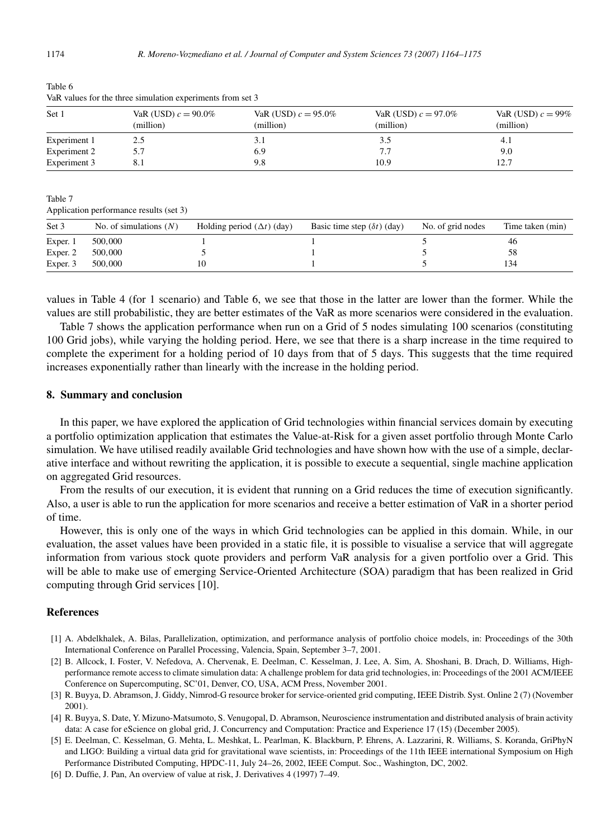|--|--|

| Set 1        | VaR (USD) $c = 90.0\%$<br>(million) | VaR (USD) $c = 95.0\%$<br>(million) | VaR (USD) $c = 97.0\%$<br>(million) | VaR (USD) $c = 99\%$<br>(million) |
|--------------|-------------------------------------|-------------------------------------|-------------------------------------|-----------------------------------|
| Experiment 1 | 2.5                                 | 3.1                                 | 3.5                                 | 4.1                               |
| Experiment 2 | 5.7                                 | 6.9                                 | 7.7                                 | 9.0                               |
| Experiment 3 | 8.1                                 | 9.8                                 | 10.9                                | 12.7                              |

Table 6 VaR values for the three simulation experiments from set 3

Table 7

Application performance results (set 3)

| Set 3              | No. of simulations $(N)$ | Holding period $(\Delta t)$ (day) | Basic time step $(\delta t)$ (day) | No. of grid nodes | Time taken (min) |
|--------------------|--------------------------|-----------------------------------|------------------------------------|-------------------|------------------|
| Exper. 1           | 500,000                  |                                   |                                    |                   | 46               |
| Exper <sub>2</sub> | 500,000                  |                                   |                                    |                   | 58               |
| Exper. 3           | 500,000                  |                                   |                                    |                   | 134              |

values in Table 4 (for 1 scenario) and Table 6, we see that those in the latter are lower than the former. While the values are still probabilistic, they are better estimates of the VaR as more scenarios were considered in the evaluation.

Table 7 shows the application performance when run on a Grid of 5 nodes simulating 100 scenarios (constituting 100 Grid jobs), while varying the holding period. Here, we see that there is a sharp increase in the time required to complete the experiment for a holding period of 10 days from that of 5 days. This suggests that the time required increases exponentially rather than linearly with the increase in the holding period.

#### **8. Summary and conclusion**

In this paper, we have explored the application of Grid technologies within financial services domain by executing a portfolio optimization application that estimates the Value-at-Risk for a given asset portfolio through Monte Carlo simulation. We have utilised readily available Grid technologies and have shown how with the use of a simple, declarative interface and without rewriting the application, it is possible to execute a sequential, single machine application on aggregated Grid resources.

From the results of our execution, it is evident that running on a Grid reduces the time of execution significantly. Also, a user is able to run the application for more scenarios and receive a better estimation of VaR in a shorter period of time.

However, this is only one of the ways in which Grid technologies can be applied in this domain. While, in our evaluation, the asset values have been provided in a static file, it is possible to visualise a service that will aggregate information from various stock quote providers and perform VaR analysis for a given portfolio over a Grid. This will be able to make use of emerging Service-Oriented Architecture (SOA) paradigm that has been realized in Grid computing through Grid services [10].

#### **References**

- [1] A. Abdelkhalek, A. Bilas, Parallelization, optimization, and performance analysis of portfolio choice models, in: Proceedings of the 30th International Conference on Parallel Processing, Valencia, Spain, September 3–7, 2001.
- [2] B. Allcock, I. Foster, V. Nefedova, A. Chervenak, E. Deelman, C. Kesselman, J. Lee, A. Sim, A. Shoshani, B. Drach, D. Williams, Highperformance remote access to climate simulation data: A challenge problem for data grid technologies, in: Proceedings of the 2001 ACM/IEEE Conference on Supercomputing, SC'01, Denver, CO, USA, ACM Press, November 2001.
- [3] R. Buyya, D. Abramson, J. Giddy, Nimrod-G resource broker for service-oriented grid computing, IEEE Distrib. Syst. Online 2 (7) (November 2001).
- [4] R. Buyya, S. Date, Y. Mizuno-Matsumoto, S. Venugopal, D. Abramson, Neuroscience instrumentation and distributed analysis of brain activity data: A case for eScience on global grid, J. Concurrency and Computation: Practice and Experience 17 (15) (December 2005).
- [5] E. Deelman, C. Kesselman, G. Mehta, L. Meshkat, L. Pearlman, K. Blackburn, P. Ehrens, A. Lazzarini, R. Williams, S. Koranda, GriPhyN and LIGO: Building a virtual data grid for gravitational wave scientists, in: Proceedings of the 11th IEEE international Symposium on High Performance Distributed Computing, HPDC-11, July 24–26, 2002, IEEE Comput. Soc., Washington, DC, 2002.
- [6] D. Duffie, J. Pan, An overview of value at risk, J. Derivatives 4 (1997) 7–49.